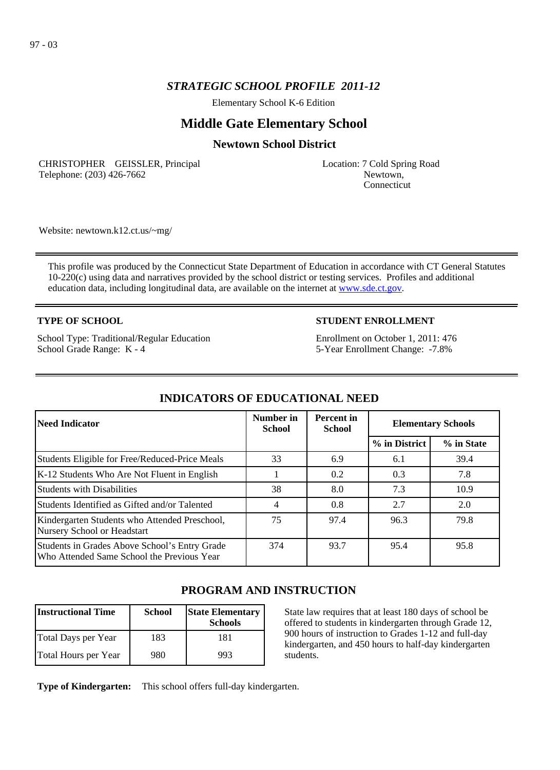Elementary School K-6 Edition

# **Middle Gate Elementary School**

## **Newtown School District**

CHRISTOPHER GEISSLER, Principal Telephone: (203) 426-7662

Location: 7 Cold Spring Road Newtown, Connecticut

Website: newtown.k12.ct.us/~mg/

This profile was produced by the Connecticut State Department of Education in accordance with CT General Statutes 10-220(c) using data and narratives provided by the school district or testing services. Profiles and additional education data, including longitudinal data, are available on the internet at [www.sde.ct.gov](http://www.sde.ct.gov/).

### **TYPE OF SCHOOL**

School Type: Traditional/Regular Education School Grade Range: K - 4

## **STUDENT ENROLLMENT**

Enrollment on October 1, 2011: 476 5-Year Enrollment Change: -7.8%

| Need Indicator                                                                              | Number in<br><b>School</b> | <b>Percent</b> in<br><b>School</b> | <b>Elementary Schools</b> |            |
|---------------------------------------------------------------------------------------------|----------------------------|------------------------------------|---------------------------|------------|
|                                                                                             |                            |                                    | % in District             | % in State |
| Students Eligible for Free/Reduced-Price Meals                                              | 33                         | 6.9                                | 6.1                       | 39.4       |
| K-12 Students Who Are Not Fluent in English                                                 |                            | 0.2                                | 0.3                       | 7.8        |
| <b>Students with Disabilities</b>                                                           | 38                         | 8.0                                | 7.3                       | 10.9       |
| Students Identified as Gifted and/or Talented                                               | 4                          | 0.8                                | 2.7                       | 2.0        |
| Kindergarten Students who Attended Preschool,<br>Nursery School or Headstart                | 75                         | 97.4                               | 96.3                      | 79.8       |
| Students in Grades Above School's Entry Grade<br>Who Attended Same School the Previous Year | 374                        | 93.7                               | 95.4                      | 95.8       |

# **INDICATORS OF EDUCATIONAL NEED**

# **PROGRAM AND INSTRUCTION**

| <b>Instructional Time</b> | <b>School</b> | <b>State Elementary</b><br><b>Schools</b> |
|---------------------------|---------------|-------------------------------------------|
| Total Days per Year       | 183           | 181                                       |
| Total Hours per Year      | 980           | 993                                       |

State law requires that at least 180 days of school be offered to students in kindergarten through Grade 12, 900 hours of instruction to Grades 1-12 and full-day kindergarten, and 450 hours to half-day kindergarten students.

**Type of Kindergarten:**  This school offers full-day kindergarten.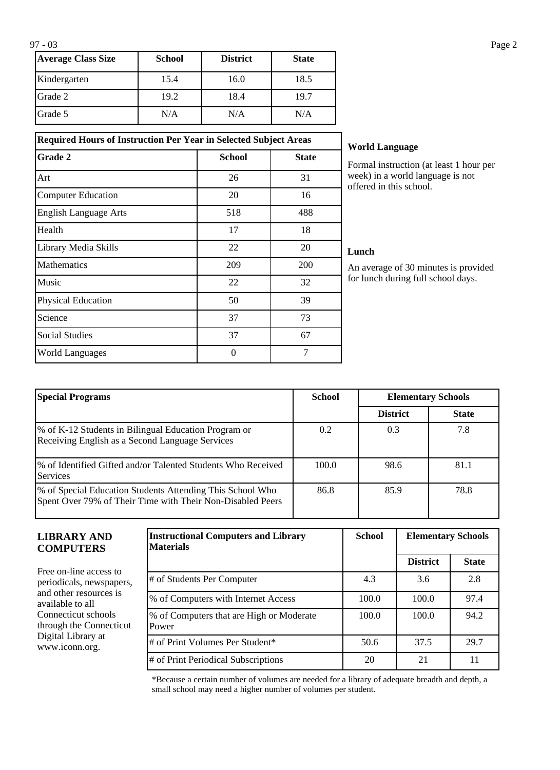| <b>Average Class Size</b> | <b>School</b> | <b>District</b> | <b>State</b> |
|---------------------------|---------------|-----------------|--------------|
| Kindergarten              | 15.4          | 16.0            | 18.5         |
| Grade 2                   | 19.2          | 18.4            | 19.7         |
| Grade 5                   | N/A           | N/A             | N/A          |

**Required Hours of Instruction Per Year in Selected Subject Areas Grade 2 School School State** 

Art 26 31 Computer Education 20 16 English Language Arts 518 518 488 Health  $17$  18 Library Media Skills 22 20 Mathematics 209 200 Music  $22$  32 Physical Education 50 50 39 Science 73 Social Studies 67 World Languages and the U and the U and the U and the U and the U and the U and the U and the U and T and T and T and T and T and T and T and T and T and T and T and T and T and T and T and T and T and T and T and T and T

## **World Language**

Formal instruction (at least 1 hour per week) in a world language is not offered in this school.

#### **Lunch**

An average of 30 minutes is provided for lunch during full school days.

| <b>Special Programs</b>                                                                                                 | <b>School</b> | <b>Elementary Schools</b> |              |
|-------------------------------------------------------------------------------------------------------------------------|---------------|---------------------------|--------------|
|                                                                                                                         |               | <b>District</b>           | <b>State</b> |
| % of K-12 Students in Bilingual Education Program or<br>Receiving English as a Second Language Services                 | 0.2           | 0.3                       | 7.8          |
| % of Identified Gifted and/or Talented Students Who Received<br><b>Services</b>                                         | 100.0         | 98.6                      | 81.1         |
| % of Special Education Students Attending This School Who<br>Spent Over 79% of Their Time with Their Non-Disabled Peers | 86.8          | 85.9                      | 78.8         |

#### **LIBRARY AND COMPUTERS**

Free on-line access to periodicals, newspapers, and other resources is available to all Connecticut schools through the Connecticut Digital Library at www.iconn.org.

| <b>Instructional Computers and Library</b><br><b>Materials</b> | <b>School</b> | <b>Elementary Schools</b> |              |
|----------------------------------------------------------------|---------------|---------------------------|--------------|
|                                                                |               | <b>District</b>           | <b>State</b> |
| # of Students Per Computer                                     | 4.3           | 3.6                       | 2.8          |
| % of Computers with Internet Access                            | 100.0         | 100.0                     | 97.4         |
| % of Computers that are High or Moderate<br>Power              | 100.0         | 100.0                     | 94.2         |
| # of Print Volumes Per Student*                                | 50.6          | 37.5                      | 29.7         |
| # of Print Periodical Subscriptions                            | 20            | 21                        | 11           |

\*Because a certain number of volumes are needed for a library of adequate breadth and depth, a small school may need a higher number of volumes per student.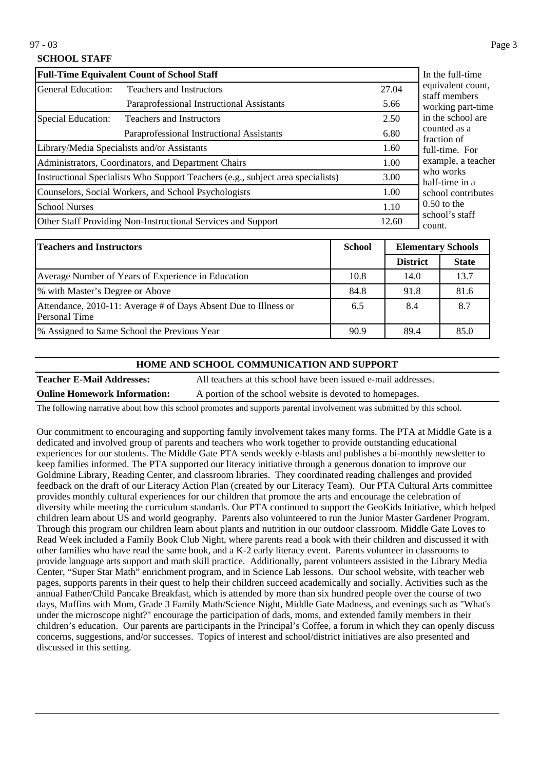97 - 03 Page 3

## **SCHOOL STAFF**

| <b>Full-Time Equivalent Count of School Staff</b>     | In the full-time                                                                |       |                                    |
|-------------------------------------------------------|---------------------------------------------------------------------------------|-------|------------------------------------|
| General Education:<br><b>Teachers and Instructors</b> |                                                                                 | 27.04 | equivalent count,<br>staff members |
|                                                       | Paraprofessional Instructional Assistants                                       | 5.66  | working part-time                  |
| Special Education:                                    | <b>Teachers and Instructors</b>                                                 | 2.50  | in the school are                  |
| Paraprofessional Instructional Assistants             |                                                                                 | 6.80  | counted as a<br>fraction of        |
|                                                       | Library/Media Specialists and/or Assistants                                     | 1.60  | full-time. For                     |
| Administrators, Coordinators, and Department Chairs   |                                                                                 | 1.00  | example, a teacher                 |
|                                                       | Instructional Specialists Who Support Teachers (e.g., subject area specialists) | 3.00  | who works<br>half-time in a        |
|                                                       | Counselors, Social Workers, and School Psychologists                            | 1.00  | school contributes                 |
| <b>School Nurses</b>                                  |                                                                                 | 1.10  | $0.50$ to the                      |
|                                                       | Other Staff Providing Non-Instructional Services and Support                    | 12.60 | school's staff<br>count.           |

| <b>Teachers and Instructors</b>                                                  | <b>School</b> | <b>Elementary Schools</b> |              |
|----------------------------------------------------------------------------------|---------------|---------------------------|--------------|
|                                                                                  |               | <b>District</b>           | <b>State</b> |
| Average Number of Years of Experience in Education                               | 10.8          | 14.0                      | 13.7         |
| % with Master's Degree or Above                                                  | 84.8          | 91.8                      | 81.6         |
| Attendance, 2010-11: Average # of Days Absent Due to Illness or<br>Personal Time | 6.5           | 8.4                       | 8.7          |
| <sup>9</sup> % Assigned to Same School the Previous Year                         | 90.9          | 89.4                      | 85.0         |

#### **HOME AND SCHOOL COMMUNICATION AND SUPPORT**

**Teacher E-Mail Addresses:** All teachers at this school have been issued e-mail addresses. **Online Homework Information:** A portion of the school website is devoted to homepages.

The following narrative about how this school promotes and supports parental involvement was submitted by this school.

Our commitment to encouraging and supporting family involvement takes many forms. The PTA at Middle Gate is a dedicated and involved group of parents and teachers who work together to provide outstanding educational experiences for our students. The Middle Gate PTA sends weekly e-blasts and publishes a bi-monthly newsletter to keep families informed. The PTA supported our literacy initiative through a generous donation to improve our Goldmine Library, Reading Center, and classroom libraries. They coordinated reading challenges and provided feedback on the draft of our Literacy Action Plan (created by our Literacy Team). Our PTA Cultural Arts committee provides monthly cultural experiences for our children that promote the arts and encourage the celebration of diversity while meeting the curriculum standards. Our PTA continued to support the GeoKids Initiative, which helped children learn about US and world geography. Parents also volunteered to run the Junior Master Gardener Program. Through this program our children learn about plants and nutrition in our outdoor classroom. Middle Gate Loves to Read Week included a Family Book Club Night, where parents read a book with their children and discussed it with other families who have read the same book, and a K-2 early literacy event. Parents volunteer in classrooms to provide language arts support and math skill practice. Additionally, parent volunteers assisted in the Library Media Center, "Super Star Math" enrichment program, and in Science Lab lessons. Our school website, with teacher web pages, supports parents in their quest to help their children succeed academically and socially. Activities such as the annual Father/Child Pancake Breakfast, which is attended by more than six hundred people over the course of two days, Muffins with Mom, Grade 3 Family Math/Science Night, Middle Gate Madness, and evenings such as "What's under the microscope night?" encourage the participation of dads, moms, and extended family members in their children's education. Our parents are participants in the Principal's Coffee, a forum in which they can openly discuss concerns, suggestions, and/or successes. Topics of interest and school/district initiatives are also presented and discussed in this setting.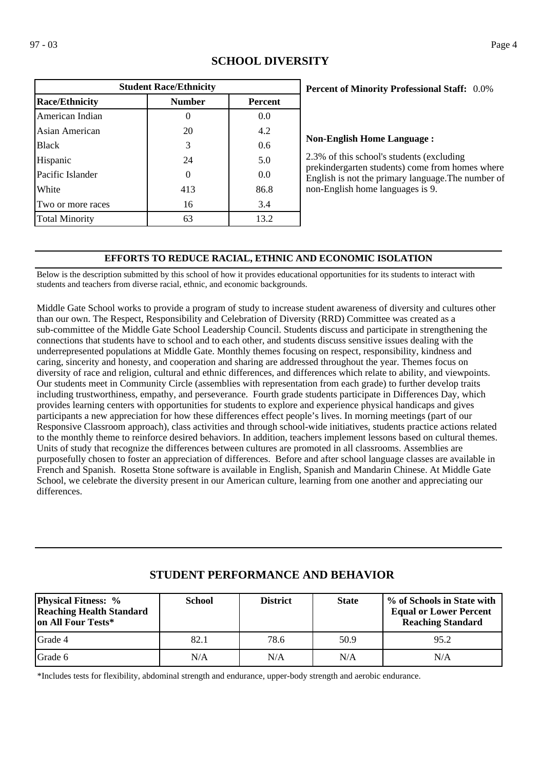| <b>Student Race/Ethnicity</b>                            |     |      |  |  |  |  |
|----------------------------------------------------------|-----|------|--|--|--|--|
| <b>Race/Ethnicity</b><br><b>Number</b><br><b>Percent</b> |     |      |  |  |  |  |
| American Indian                                          | O   | 0.0  |  |  |  |  |
| Asian American                                           | 20  | 4.2  |  |  |  |  |
| <b>Black</b>                                             | 3   | 0.6  |  |  |  |  |
| Hispanic                                                 | 24  | 5.0  |  |  |  |  |
| Pacific Islander                                         | 0   | 0.0  |  |  |  |  |
| White                                                    | 413 | 86.8 |  |  |  |  |
| Two or more races                                        | 16  | 3.4  |  |  |  |  |
| <b>Total Minority</b>                                    | 63  | 13.2 |  |  |  |  |

## **SCHOOL DIVERSITY**

### 0.0% **Percent of Minority Professional Staff:**

#### **Non-English Home Language :**

2.3% of this school's students (excluding prekindergarten students) come from homes where English is not the primary language.The number of non-English home languages is 9.

## **EFFORTS TO REDUCE RACIAL, ETHNIC AND ECONOMIC ISOLATION**

Below is the description submitted by this school of how it provides educational opportunities for its students to interact with students and teachers from diverse racial, ethnic, and economic backgrounds.

Middle Gate School works to provide a program of study to increase student awareness of diversity and cultures other than our own. The Respect, Responsibility and Celebration of Diversity (RRD) Committee was created as a sub-committee of the Middle Gate School Leadership Council. Students discuss and participate in strengthening the connections that students have to school and to each other, and students discuss sensitive issues dealing with the underrepresented populations at Middle Gate. Monthly themes focusing on respect, responsibility, kindness and caring, sincerity and honesty, and cooperation and sharing are addressed throughout the year. Themes focus on diversity of race and religion, cultural and ethnic differences, and differences which relate to ability, and viewpoints. Our students meet in Community Circle (assemblies with representation from each grade) to further develop traits including trustworthiness, empathy, and perseverance. Fourth grade students participate in Differences Day, which provides learning centers with opportunities for students to explore and experience physical handicaps and gives participants a new appreciation for how these differences effect people's lives. In morning meetings (part of our Responsive Classroom approach), class activities and through school-wide initiatives, students practice actions related to the monthly theme to reinforce desired behaviors. In addition, teachers implement lessons based on cultural themes. Units of study that recognize the differences between cultures are promoted in all classrooms. Assemblies are purposefully chosen to foster an appreciation of differences. Before and after school language classes are available in French and Spanish. Rosetta Stone software is available in English, Spanish and Mandarin Chinese. At Middle Gate School, we celebrate the diversity present in our American culture, learning from one another and appreciating our differences.

| <b>Physical Fitness:</b> %<br><b>Reaching Health Standard</b><br>on All Four Tests* | <b>School</b> | <b>District</b> | <b>State</b> | % of Schools in State with<br><b>Equal or Lower Percent</b><br><b>Reaching Standard</b> |
|-------------------------------------------------------------------------------------|---------------|-----------------|--------------|-----------------------------------------------------------------------------------------|
| Grade 4                                                                             | 82.1          | 78.6            | 50.9         | 95.2                                                                                    |
| Grade 6                                                                             | N/A           | N/A             | N/A          | N/A                                                                                     |

# **STUDENT PERFORMANCE AND BEHAVIOR**

\*Includes tests for flexibility, abdominal strength and endurance, upper-body strength and aerobic endurance.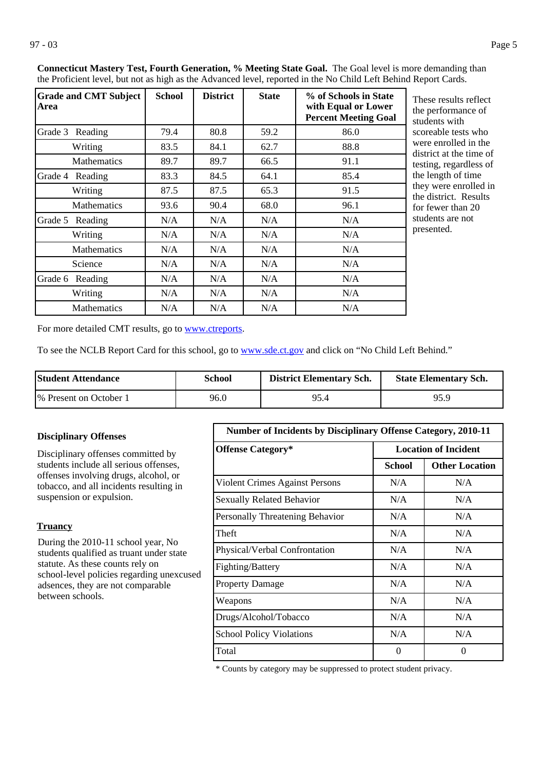| <b>Grade and CMT Subject</b><br>Area | <b>School</b> | <b>District</b> | <b>State</b> | % of Schools in State<br>with Equal or Lower<br><b>Percent Meeting Goal</b> | These results reflect<br>the performance of<br>students with         |
|--------------------------------------|---------------|-----------------|--------------|-----------------------------------------------------------------------------|----------------------------------------------------------------------|
| Grade 3 Reading                      | 79.4          | 80.8            | 59.2         | 86.0                                                                        | scoreable tests who                                                  |
| Writing                              | 83.5          | 84.1            | 62.7         | 88.8                                                                        | were enrolled in the<br>district at the time of                      |
| <b>Mathematics</b>                   | 89.7          | 89.7            | 66.5         | 91.1                                                                        | testing, regardless of                                               |
| Grade 4<br>Reading                   | 83.3          | 84.5            | 64.1         | 85.4                                                                        | the length of time<br>they were enrolled in<br>the district. Results |
| Writing                              | 87.5          | 87.5            | 65.3         | 91.5                                                                        |                                                                      |
| Mathematics                          | 93.6          | 90.4            | 68.0         | 96.1                                                                        | for fewer than 20                                                    |
| Grade 5<br>Reading                   | N/A           | N/A             | N/A          | N/A                                                                         | students are not                                                     |
| Writing                              | N/A           | N/A             | N/A          | N/A                                                                         | presented.                                                           |
| <b>Mathematics</b>                   | N/A           | N/A             | N/A          | N/A                                                                         |                                                                      |
| Science                              | N/A           | N/A             | N/A          | N/A                                                                         |                                                                      |
| Grade 6 Reading                      | N/A           | N/A             | N/A          | N/A                                                                         |                                                                      |
| Writing                              | N/A           | N/A             | N/A          | N/A                                                                         |                                                                      |
| <b>Mathematics</b>                   | N/A           | N/A             | N/A          | N/A                                                                         |                                                                      |

**Connecticut Mastery Test, Fourth Generation, % Meeting State Goal.** The Goal level is more demanding than the Proficient level, but not as high as the Advanced level, reported in the No Child Left Behind Report Cards.

> ne performance of tudents with coreable tests who were enrolled in the istrict at the time of esting, regardless of he length of time ney were enrolled in ne district. Results or fewer than 20 tudents are not resented.

For more detailed CMT results, go to **[www.ctreports](http://www.ctreports/)**.

To see the NCLB Report Card for this school, go to [www.sde.ct.gov](http://www.sde.ct.gov/) and click on "No Child Left Behind."

| <b>Student Attendance</b> | School | <b>District Elementary Sch.</b> | <b>State Elementary Sch.</b> |
|---------------------------|--------|---------------------------------|------------------------------|
| 1\% Present on October 1  | 96.0   | 95.4                            | 95.9                         |

#### **Disciplinary Offenses**

Disciplinary offenses committed by students include all serious offenses, offenses involving drugs, alcohol, or tobacco, and all incidents resulting in suspension or expulsion.

#### **Truancy**

During the 2010-11 school year, No students qualified as truant under state statute. As these counts rely on school-level policies regarding unexcused adsences, they are not comparable between schools.

| <b>Number of Incidents by Disciplinary Offense Category, 2010-11</b> |                             |                       |  |  |
|----------------------------------------------------------------------|-----------------------------|-----------------------|--|--|
| <b>Offense Category*</b>                                             | <b>Location of Incident</b> |                       |  |  |
|                                                                      | School                      | <b>Other Location</b> |  |  |
| Violent Crimes Against Persons                                       | N/A                         | N/A                   |  |  |
| <b>Sexually Related Behavior</b>                                     | N/A                         | N/A                   |  |  |
| Personally Threatening Behavior                                      | N/A                         | N/A                   |  |  |
| Theft                                                                | N/A                         | N/A                   |  |  |
| Physical/Verbal Confrontation                                        | N/A                         | N/A                   |  |  |
| Fighting/Battery                                                     | N/A                         | N/A                   |  |  |
| <b>Property Damage</b>                                               | N/A                         | N/A                   |  |  |
| Weapons                                                              | N/A                         | N/A                   |  |  |
| Drugs/Alcohol/Tobacco                                                | N/A                         | N/A                   |  |  |
| <b>School Policy Violations</b>                                      | N/A                         | N/A                   |  |  |
| Total                                                                | $\mathbf{\Omega}$           | $\Omega$              |  |  |

\* Counts by category may be suppressed to protect student privacy.